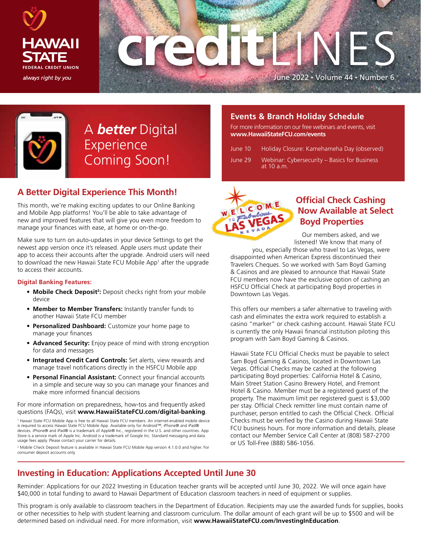





A *better* Digital Experience Coming Soon!

## **A Better Digital Experience This Month!**

This month, we're making exciting updates to our Online Banking and Mobile App platforms! You'll be able to take advantage of new and improved features that will give you even more freedom to manage your finances with ease, at home or on-the-go.

Make sure to turn on auto-updates in your device Settings to get the newest app version once it's released. Apple users must update their app to access their accounts after the upgrade. Android users will need to download the new Hawaii State FCU Mobile App<sup>1</sup> after the upgrade to access their accounts.

#### **Digital Banking Features:**

- **Mobile Check Deposit<sup>2</sup>:** Deposit checks right from your mobile device
- **Member to Member Transfers:** Instantly transfer funds to another Hawaii State FCU member
- **Personalized Dashboard:** Customize your home page to manage your finances
- **Advanced Security:** Enjoy peace of mind with strong encryption for data and messages
- **Integrated Credit Card Controls:** Set alerts, view rewards and manage travel notifications directly in the HSFCU Mobile app
- **Personal Financial Assistant:** Connect your financial accounts in a simple and secure way so you can manage your finances and make more informed financial decisions

For more information on preparedness, how-tos and frequently asked questions (FAQs), visit **www.HawaiiStateFCU.com/digital-banking**.

1 Hawaii State FCU Mobile App is free to all Hawaii State FCU members. An internet-enabled mobile device is required to access Hawaii State FCU Mobile App. Available only for Android™, iPhone® and iPad® devices. iPhone® and iPad® is a trademark of Apple® Inc., registered in the U.S. and other countries. App Store is a service mark of Apple Inc. Android is a trademark of Google Inc. Standard messaging and data usage fees apply. Please contact your carrier for details.

2 Mobile Check Deposit feature is available in Hawaii State FCU Mobile App version 4.1.0.0 and higher. For consumer deposit accounts only.

### **Events & Branch Holiday Schedule**

For more information on our free webinars and events, visit **www.HawaiiStateFCU.com/events**

| June 10 | Holiday Closure: Kamehameha Day (observed)                 |
|---------|------------------------------------------------------------|
| June 29 | Webinar: Cybersecurity – Basics for Business<br>at 10 a.m. |



#### **Official Check Cashing Now Available at Select Boyd Properties**

Our members asked, and we listened! We know that many of

you, especially those who travel to Las Vegas, were disappointed when American Express discontinued their Travelers Cheques. So we worked with Sam Boyd Gaming & Casinos and are pleased to announce that Hawaii State FCU members now have the exclusive option of cashing an HSFCU Official Check at participating Boyd properties in Downtown Las Vegas.

This offers our members a safer alternative to traveling with cash and eliminates the extra work required to establish a casino "marker" or check cashing account. Hawaii State FCU is currently the only Hawaii financial institution piloting this program with Sam Boyd Gaming & Casinos.

Hawaii State FCU Official Checks must be payable to select Sam Boyd Gaming & Casinos, located in Downtown Las Vegas. Official Checks may be cashed at the following participating Boyd properties: California Hotel & Casino, Main Street Station Casino Brewery Hotel, and Fremont Hotel & Casino. Member must be a registered guest of the property. The maximum limit per registered guest is \$3,000 per stay. Official Check remitter line must contain name of purchaser, person entitled to cash the Official Check. Official Checks must be verified by the Casino during Hawaii State FCU business hours. For more information and details, please contact our Member Service Call Center at (808) 587-2700 or US Toll-Free (888) 586-1056.

## **Investing in Education: Applications Accepted Until June 30**

Reminder: Applications for our 2022 Investing in Education teacher grants will be accepted until June 30, 2022. We will once again have \$40,000 in total funding to award to Hawaii Department of Education classroom teachers in need of equipment or supplies.

This program is only available to classroom teachers in the Department of Education. Recipients may use the awarded funds for supplies, books or other necessities to help with student learning and classroom curriculum. The dollar amount of each grant will be up to \$500 and will be determined based on individual need. For more information, visit **www.HawaiiStateFCU.com/InvestingInEducation**.